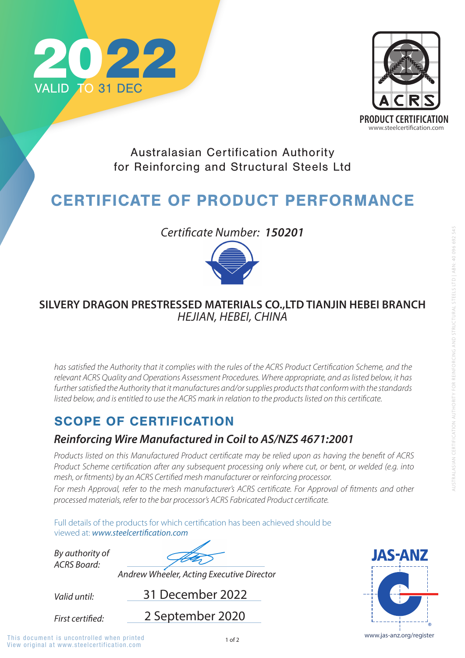

# SCOPE OF CERTIFICATION

*Valid until:*

*By authority of ACRS Board:*

31 December 2022

**First certified:** 

*Andrew Wheeler, Acting Executive Director*



Australasian Certification Authority for Reinforcing and Structural Steels Ltd

# CERTIFICATE OF PRODUCT PERFORMANCE

### *Reinforcing Wire Manufactured in Coil to AS/NZS 4671:2001*

*Products listed on this Manufactured Product certificate may be relied upon as having the benefit of ACRS Product Scheme certification after any subsequent processing only where cut, or bent, or welded (e.g. into mesh, or fitments) by an ACRS Certified mesh manufacturer or reinforcing processor.* 

*For mesh Approval, refer to the mesh manufacturer's ACRS certificate. For Approval of fitments and other* 

*processed materials, refer to the bar processor's ACRS Fabricated Product certificate.* 

Full details of the products for which certification has been achieved should be viewed at: **www.steelcertification.com** 

2 September 2020



View original at www.steelcertification.com This document is uncontrolled when printed  $1$  of 2 www.jas-anz.org/register



*Certificate Number: 150201*



### **SILVERY DRAGON PRESTRESSED MATERIALS CO.,LTD TIANJIN HEBEI BRANCH** *HEJIAN, HEBEI, CHINA*

*has satisfied the Authority that it complies with the rules of the ACRS Product Certification Scheme, and the relevant ACRS Quality and Operations Assessment Procedures. Where appropriate, and as listed below, it has*  further satisfied the Authority that it manufactures and/or supplies products that conform with the standards *listed below, and is entitled to use the ACRS mark in relation to the products listed on this certificate.*